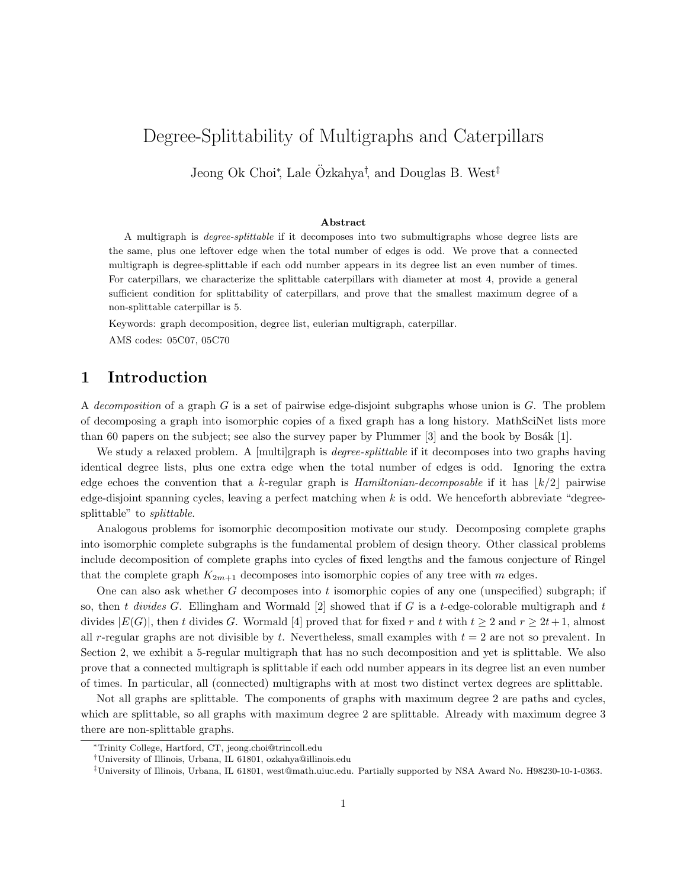# Degree-Splittability of Multigraphs and Caterpillars

Jeong Ok Choi<sup>\*</sup>, Lale Özkahya<sup>†</sup>, and Douglas B. West<sup>‡</sup>

#### Abstract

A multigraph is degree-splittable if it decomposes into two submultigraphs whose degree lists are the same, plus one leftover edge when the total number of edges is odd. We prove that a connected multigraph is degree-splittable if each odd number appears in its degree list an even number of times. For caterpillars, we characterize the splittable caterpillars with diameter at most 4, provide a general sufficient condition for splittability of caterpillars, and prove that the smallest maximum degree of a non-splittable caterpillar is 5.

Keywords: graph decomposition, degree list, eulerian multigraph, caterpillar.

AMS codes: 05C07, 05C70

### 1 Introduction

A decomposition of a graph  $G$  is a set of pairwise edge-disjoint subgraphs whose union is  $G$ . The problem of decomposing a graph into isomorphic copies of a fixed graph has a long history. MathSciNet lists more than 60 papers on the subject; see also the survey paper by Plummer  $[3]$  and the book by Bosák  $[1]$ .

We study a relaxed problem. A [multi]graph is *degree-splittable* if it decomposes into two graphs having identical degree lists, plus one extra edge when the total number of edges is odd. Ignoring the extra edge echoes the convention that a k-regular graph is Hamiltonian-decomposable if it has  $|k/2|$  pairwise edge-disjoint spanning cycles, leaving a perfect matching when  $k$  is odd. We henceforth abbreviate "degreesplittable" to splittable.

Analogous problems for isomorphic decomposition motivate our study. Decomposing complete graphs into isomorphic complete subgraphs is the fundamental problem of design theory. Other classical problems include decomposition of complete graphs into cycles of fixed lengths and the famous conjecture of Ringel that the complete graph  $K_{2m+1}$  decomposes into isomorphic copies of any tree with m edges.

One can also ask whether G decomposes into t isomorphic copies of any one (unspecified) subgraph; if so, then t divides G. Ellingham and Wormald  $[2]$  showed that if G is a t-edge-colorable multigraph and t divides  $|E(G)|$ , then t divides G. Wormald [4] proved that for fixed r and t with  $t \ge 2$  and  $r \ge 2t+1$ , almost all r-regular graphs are not divisible by t. Nevertheless, small examples with  $t = 2$  are not so prevalent. In Section 2, we exhibit a 5-regular multigraph that has no such decomposition and yet is splittable. We also prove that a connected multigraph is splittable if each odd number appears in its degree list an even number of times. In particular, all (connected) multigraphs with at most two distinct vertex degrees are splittable.

Not all graphs are splittable. The components of graphs with maximum degree 2 are paths and cycles, which are splittable, so all graphs with maximum degree 2 are splittable. Already with maximum degree 3 there are non-splittable graphs.

<sup>∗</sup>Trinity College, Hartford, CT, jeong.choi@trincoll.edu

<sup>†</sup>University of Illinois, Urbana, IL 61801, ozkahya@illinois.edu

<sup>‡</sup>University of Illinois, Urbana, IL 61801, west@math.uiuc.edu. Partially supported by NSA Award No. H98230-10-1-0363.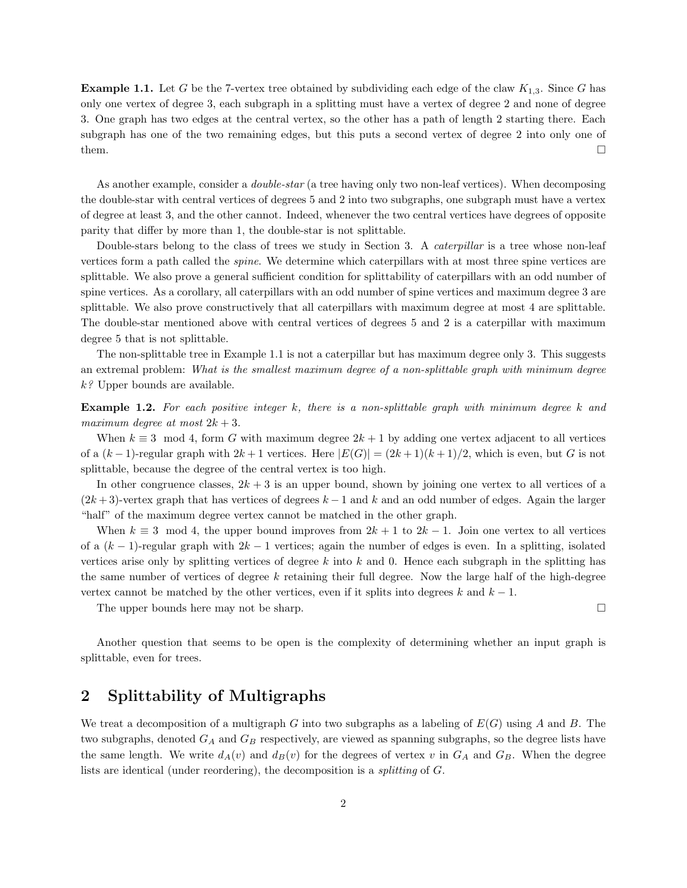**Example 1.1.** Let G be the 7-vertex tree obtained by subdividing each edge of the claw  $K_{1,3}$ . Since G has only one vertex of degree 3, each subgraph in a splitting must have a vertex of degree 2 and none of degree 3. One graph has two edges at the central vertex, so the other has a path of length 2 starting there. Each subgraph has one of the two remaining edges, but this puts a second vertex of degree 2 into only one of them.  $\square$ 

As another example, consider a *double-star* (a tree having only two non-leaf vertices). When decomposing the double-star with central vertices of degrees 5 and 2 into two subgraphs, one subgraph must have a vertex of degree at least 3, and the other cannot. Indeed, whenever the two central vertices have degrees of opposite parity that differ by more than 1, the double-star is not splittable.

Double-stars belong to the class of trees we study in Section 3. A *caterpillar* is a tree whose non-leaf vertices form a path called the spine. We determine which caterpillars with at most three spine vertices are splittable. We also prove a general sufficient condition for splittability of caterpillars with an odd number of spine vertices. As a corollary, all caterpillars with an odd number of spine vertices and maximum degree 3 are splittable. We also prove constructively that all caterpillars with maximum degree at most 4 are splittable. The double-star mentioned above with central vertices of degrees 5 and 2 is a caterpillar with maximum degree 5 that is not splittable.

The non-splittable tree in Example 1.1 is not a caterpillar but has maximum degree only 3. This suggests an extremal problem: What is the smallest maximum degree of a non-splittable graph with minimum degree  $k$ ? Upper bounds are available.

**Example 1.2.** For each positive integer  $k$ , there is a non-splittable graph with minimum degree  $k$  and maximum degree at most  $2k + 3$ .

When  $k \equiv 3 \mod 4$ , form G with maximum degree  $2k + 1$  by adding one vertex adjacent to all vertices of a  $(k-1)$ -regular graph with  $2k+1$  vertices. Here  $|E(G)| = (2k+1)(k+1)/2$ , which is even, but G is not splittable, because the degree of the central vertex is too high.

In other congruence classes,  $2k + 3$  is an upper bound, shown by joining one vertex to all vertices of a  $(2k+3)$ -vertex graph that has vertices of degrees  $k-1$  and k and an odd number of edges. Again the larger "half" of the maximum degree vertex cannot be matched in the other graph.

When  $k \equiv 3 \mod 4$ , the upper bound improves from  $2k + 1$  to  $2k - 1$ . Join one vertex to all vertices of a  $(k-1)$ -regular graph with  $2k-1$  vertices; again the number of edges is even. In a splitting, isolated vertices arise only by splitting vertices of degree  $k$  into  $k$  and 0. Hence each subgraph in the splitting has the same number of vertices of degree k retaining their full degree. Now the large half of the high-degree vertex cannot be matched by the other vertices, even if it splits into degrees k and  $k - 1$ .

The upper bounds here may not be sharp.

Another question that seems to be open is the complexity of determining whether an input graph is splittable, even for trees.

#### 2 Splittability of Multigraphs

We treat a decomposition of a multigraph G into two subgraphs as a labeling of  $E(G)$  using A and B. The two subgraphs, denoted  $G_A$  and  $G_B$  respectively, are viewed as spanning subgraphs, so the degree lists have the same length. We write  $d_A(v)$  and  $d_B(v)$  for the degrees of vertex v in  $G_A$  and  $G_B$ . When the degree lists are identical (under reordering), the decomposition is a splitting of G.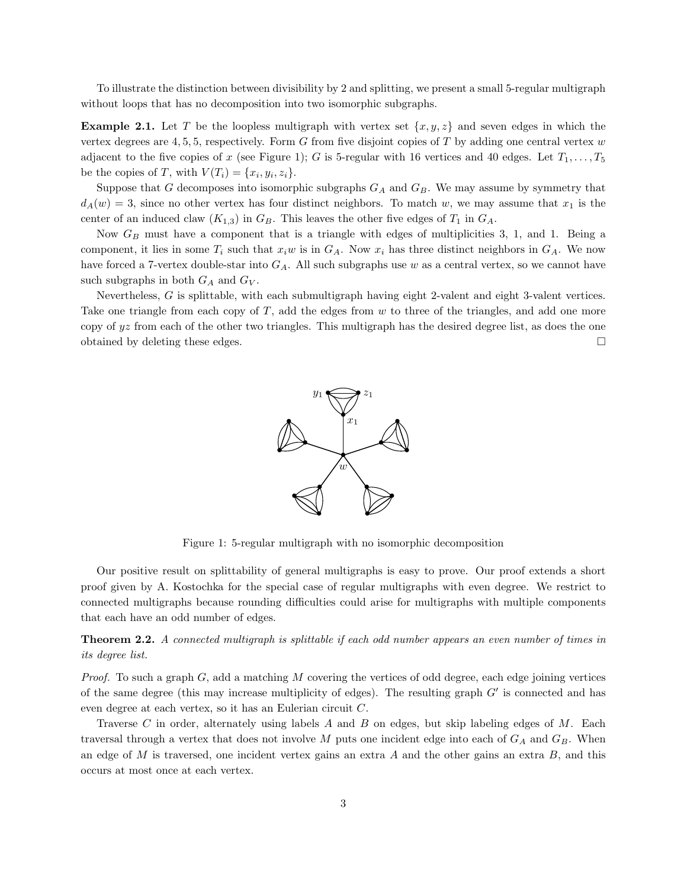To illustrate the distinction between divisibility by 2 and splitting, we present a small 5-regular multigraph without loops that has no decomposition into two isomorphic subgraphs.

**Example 2.1.** Let T be the loopless multigraph with vertex set  $\{x, y, z\}$  and seven edges in which the vertex degrees are 4, 5, 5, respectively. Form G from five disjoint copies of T by adding one central vertex  $w$ adjacent to the five copies of x (see Figure 1); G is 5-regular with 16 vertices and 40 edges. Let  $T_1, \ldots, T_5$ be the copies of T, with  $V(T_i) = \{x_i, y_i, z_i\}.$ 

Suppose that G decomposes into isomorphic subgraphs  $G_A$  and  $G_B$ . We may assume by symmetry that  $d_A(w) = 3$ , since no other vertex has four distinct neighbors. To match w, we may assume that  $x_1$  is the center of an induced claw  $(K_{1,3})$  in  $G_B$ . This leaves the other five edges of  $T_1$  in  $G_A$ .

Now  $G_B$  must have a component that is a triangle with edges of multiplicities 3, 1, and 1. Being a component, it lies in some  $T_i$  such that  $x_iw$  is in  $G_A$ . Now  $x_i$  has three distinct neighbors in  $G_A$ . We now have forced a 7-vertex double-star into  $G_A$ . All such subgraphs use w as a central vertex, so we cannot have such subgraphs in both  $G_A$  and  $G_V$ .

Nevertheless, G is splittable, with each submultigraph having eight 2-valent and eight 3-valent vertices. Take one triangle from each copy of  $T$ , add the edges from  $w$  to three of the triangles, and add one more copy of  $yz$  from each of the other two triangles. This multigraph has the desired degree list, as does the one obtained by deleting these edges.



Figure 1: 5-regular multigraph with no isomorphic decomposition

Our positive result on splittability of general multigraphs is easy to prove. Our proof extends a short proof given by A. Kostochka for the special case of regular multigraphs with even degree. We restrict to connected multigraphs because rounding difficulties could arise for multigraphs with multiple components that each have an odd number of edges.

Theorem 2.2. A connected multigraph is splittable if each odd number appears an even number of times in its degree list.

*Proof.* To such a graph  $G$ , add a matching M covering the vertices of odd degree, each edge joining vertices of the same degree (this may increase multiplicity of edges). The resulting graph G′ is connected and has even degree at each vertex, so it has an Eulerian circuit C.

Traverse C in order, alternately using labels A and B on edges, but skip labeling edges of  $M$ . Each traversal through a vertex that does not involve M puts one incident edge into each of  $G_A$  and  $G_B$ . When an edge of  $M$  is traversed, one incident vertex gains an extra  $A$  and the other gains an extra  $B$ , and this occurs at most once at each vertex.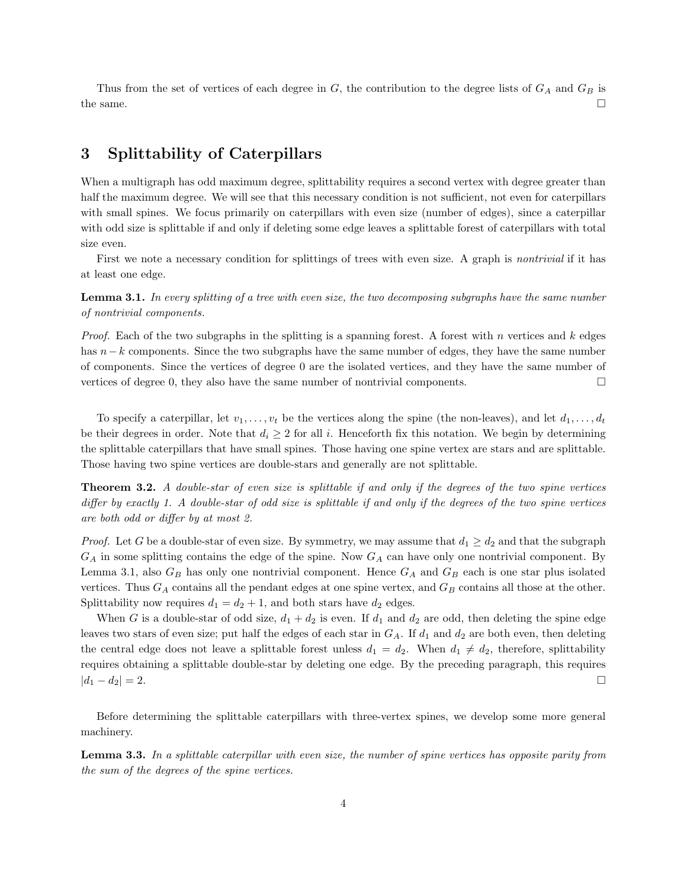Thus from the set of vertices of each degree in  $G$ , the contribution to the degree lists of  $G_A$  and  $G_B$  is the same.  $\square$ 

## 3 Splittability of Caterpillars

When a multigraph has odd maximum degree, splittability requires a second vertex with degree greater than half the maximum degree. We will see that this necessary condition is not sufficient, not even for caterpillars with small spines. We focus primarily on caterpillars with even size (number of edges), since a caterpillar with odd size is splittable if and only if deleting some edge leaves a splittable forest of caterpillars with total size even.

First we note a necessary condition for splittings of trees with even size. A graph is *nontrivial* if it has at least one edge.

Lemma 3.1. In every splitting of a tree with even size, the two decomposing subgraphs have the same number of nontrivial components.

*Proof.* Each of the two subgraphs in the splitting is a spanning forest. A forest with n vertices and k edges has n−k components. Since the two subgraphs have the same number of edges, they have the same number of components. Since the vertices of degree 0 are the isolated vertices, and they have the same number of vertices of degree 0, they also have the same number of nontrivial components.

To specify a caterpillar, let  $v_1, \ldots, v_t$  be the vertices along the spine (the non-leaves), and let  $d_1, \ldots, d_t$ be their degrees in order. Note that  $d_i \geq 2$  for all i. Henceforth fix this notation. We begin by determining the splittable caterpillars that have small spines. Those having one spine vertex are stars and are splittable. Those having two spine vertices are double-stars and generally are not splittable.

Theorem 3.2. A double-star of even size is splittable if and only if the degrees of the two spine vertices differ by exactly 1. A double-star of odd size is splittable if and only if the degrees of the two spine vertices are both odd or differ by at most 2.

*Proof.* Let G be a double-star of even size. By symmetry, we may assume that  $d_1 \geq d_2$  and that the subgraph  $G_A$  in some splitting contains the edge of the spine. Now  $G_A$  can have only one nontrivial component. By Lemma 3.1, also  $G_B$  has only one nontrivial component. Hence  $G_A$  and  $G_B$  each is one star plus isolated vertices. Thus  $G_A$  contains all the pendant edges at one spine vertex, and  $G_B$  contains all those at the other. Splittability now requires  $d_1 = d_2 + 1$ , and both stars have  $d_2$  edges.

When G is a double-star of odd size,  $d_1 + d_2$  is even. If  $d_1$  and  $d_2$  are odd, then deleting the spine edge leaves two stars of even size; put half the edges of each star in  $G_A$ . If  $d_1$  and  $d_2$  are both even, then deleting the central edge does not leave a splittable forest unless  $d_1 = d_2$ . When  $d_1 \neq d_2$ , therefore, splittability requires obtaining a splittable double-star by deleting one edge. By the preceding paragraph, this requires  $|d_1 - d_2| = 2.$ 

Before determining the splittable caterpillars with three-vertex spines, we develop some more general machinery.

Lemma 3.3. In a splittable caterpillar with even size, the number of spine vertices has opposite parity from the sum of the degrees of the spine vertices.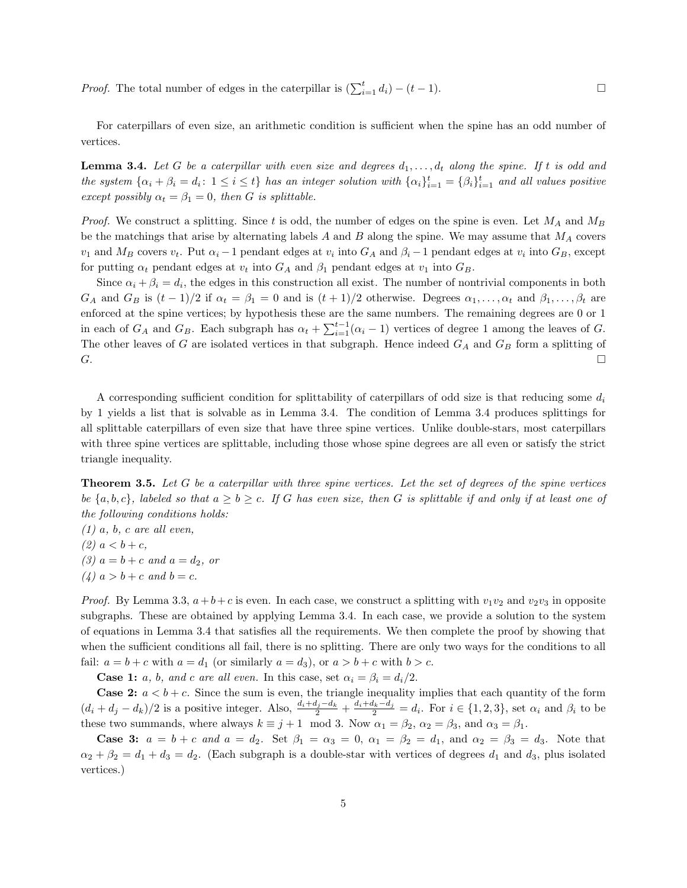*Proof.* The total number of edges in the caterpillar is  $(\sum_{i=1}^{t} d_i) - (t-1)$ .

For caterpillars of even size, an arithmetic condition is sufficient when the spine has an odd number of vertices.

**Lemma 3.4.** Let G be a caterpillar with even size and degrees  $d_1, \ldots, d_t$  along the spine. If t is odd and the system  $\{\alpha_i + \beta_i = d_i : 1 \leq i \leq t\}$  has an integer solution with  $\{\alpha_i\}_{i=1}^t = \{\beta_i\}_{i=1}^t$  and all values positive except possibly  $\alpha_t = \beta_1 = 0$ , then G is splittable.

*Proof.* We construct a splitting. Since t is odd, the number of edges on the spine is even. Let  $M_A$  and  $M_B$ be the matchings that arise by alternating labels  $A$  and  $B$  along the spine. We may assume that  $M_A$  covers  $v_1$  and  $M_B$  covers  $v_t$ . Put  $\alpha_i - 1$  pendant edges at  $v_i$  into  $G_A$  and  $\beta_i - 1$  pendant edges at  $v_i$  into  $G_B$ , except for putting  $\alpha_t$  pendant edges at  $v_t$  into  $G_A$  and  $\beta_1$  pendant edges at  $v_1$  into  $G_B$ .

Since  $\alpha_i + \beta_i = d_i$ , the edges in this construction all exist. The number of nontrivial components in both  $G_A$  and  $G_B$  is  $(t-1)/2$  if  $\alpha_t = \beta_1 = 0$  and is  $(t+1)/2$  otherwise. Degrees  $\alpha_1, \ldots, \alpha_t$  and  $\beta_1, \ldots, \beta_t$  are enforced at the spine vertices; by hypothesis these are the same numbers. The remaining degrees are 0 or 1 in each of  $G_A$  and  $G_B$ . Each subgraph has  $\alpha_t + \sum_{i=1}^{t-1} (\alpha_i - 1)$  vertices of degree 1 among the leaves of G. The other leaves of G are isolated vertices in that subgraph. Hence indeed  $G_A$  and  $G_B$  form a splitting of  $G.$ 

A corresponding sufficient condition for splittability of caterpillars of odd size is that reducing some  $d_i$ by 1 yields a list that is solvable as in Lemma 3.4. The condition of Lemma 3.4 produces splittings for all splittable caterpillars of even size that have three spine vertices. Unlike double-stars, most caterpillars with three spine vertices are splittable, including those whose spine degrees are all even or satisfy the strict triangle inequality.

**Theorem 3.5.** Let  $G$  be a caterpillar with three spine vertices. Let the set of degrees of the spine vertices be  $\{a, b, c\}$ , labeled so that  $a \ge b \ge c$ . If G has even size, then G is splittable if and only if at least one of the following conditions holds:

 $(1)$  a, b, c are all even, (2)  $a < b + c$ , (3)  $a = b + c$  and  $a = d_2$ , or  $(4)$   $a > b + c$  and  $b = c$ .

*Proof.* By Lemma 3.3,  $a+b+c$  is even. In each case, we construct a splitting with  $v_1v_2$  and  $v_2v_3$  in opposite subgraphs. These are obtained by applying Lemma 3.4. In each case, we provide a solution to the system of equations in Lemma 3.4 that satisfies all the requirements. We then complete the proof by showing that when the sufficient conditions all fail, there is no splitting. There are only two ways for the conditions to all fail:  $a = b + c$  with  $a = d_1$  (or similarly  $a = d_3$ ), or  $a > b + c$  with  $b > c$ .

**Case 1:** a, b, and c are all even. In this case, set  $\alpha_i = \beta_i = d_i/2$ .

**Case 2:**  $a < b + c$ . Since the sum is even, the triangle inequality implies that each quantity of the form  $(d_i + d_j - d_k)/2$  is a positive integer. Also,  $\frac{d_i + d_j - d_k}{2} + \frac{d_i + d_k - d_j}{2} = d_i$ . For  $i \in \{1, 2, 3\}$ , set  $\alpha_i$  and  $\beta_i$  to be these two summands, where always  $k \equiv j+1 \mod 3$ . Now  $\alpha_1 = \beta_2$ ,  $\alpha_2 = \beta_3$ , and  $\alpha_3 = \beta_1$ .

Case 3:  $a = b + c$  and  $a = d_2$ . Set  $\beta_1 = \alpha_3 = 0$ ,  $\alpha_1 = \beta_2 = d_1$ , and  $\alpha_2 = \beta_3 = d_3$ . Note that  $\alpha_2 + \beta_2 = d_1 + d_3 = d_2$ . (Each subgraph is a double-star with vertices of degrees  $d_1$  and  $d_3$ , plus isolated vertices.)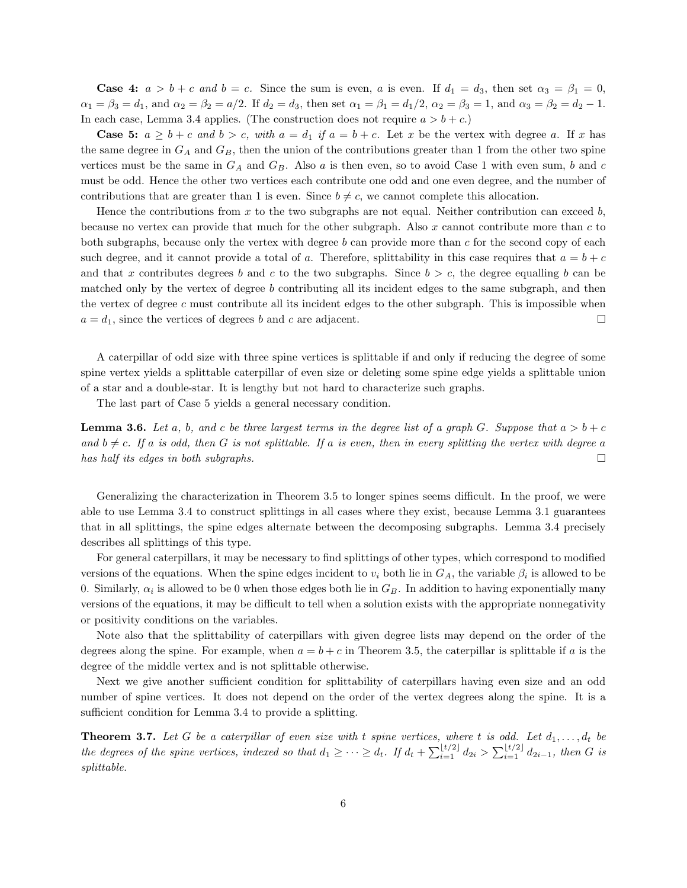**Case 4:**  $a > b + c$  and  $b = c$ . Since the sum is even, a is even. If  $d_1 = d_3$ , then set  $\alpha_3 = \beta_1 = 0$ ,  $\alpha_1 = \beta_3 = d_1$ , and  $\alpha_2 = \beta_2 = a/2$ . If  $d_2 = d_3$ , then set  $\alpha_1 = \beta_1 = d_1/2$ ,  $\alpha_2 = \beta_3 = 1$ , and  $\alpha_3 = \beta_2 = d_2 - 1$ . In each case, Lemma 3.4 applies. (The construction does not require  $a > b + c$ .)

**Case 5:**  $a \geq b + c$  and  $b > c$ , with  $a = d_1$  if  $a = b + c$ . Let x be the vertex with degree a. If x has the same degree in  $G_A$  and  $G_B$ , then the union of the contributions greater than 1 from the other two spine vertices must be the same in  $G_A$  and  $G_B$ . Also a is then even, so to avoid Case 1 with even sum, b and c must be odd. Hence the other two vertices each contribute one odd and one even degree, and the number of contributions that are greater than 1 is even. Since  $b \neq c$ , we cannot complete this allocation.

Hence the contributions from x to the two subgraphs are not equal. Neither contribution can exceed b, because no vertex can provide that much for the other subgraph. Also x cannot contribute more than  $c$  to both subgraphs, because only the vertex with degree b can provide more than c for the second copy of each such degree, and it cannot provide a total of a. Therefore, splittability in this case requires that  $a = b + c$ and that x contributes degrees b and c to the two subgraphs. Since  $b > c$ , the degree equalling b can be matched only by the vertex of degree  $b$  contributing all its incident edges to the same subgraph, and then the vertex of degree c must contribute all its incident edges to the other subgraph. This is impossible when  $a = d_1$ , since the vertices of degrees b and c are adjacent.

A caterpillar of odd size with three spine vertices is splittable if and only if reducing the degree of some spine vertex yields a splittable caterpillar of even size or deleting some spine edge yields a splittable union of a star and a double-star. It is lengthy but not hard to characterize such graphs.

The last part of Case 5 yields a general necessary condition.

**Lemma 3.6.** Let a, b, and c be three largest terms in the degree list of a graph G. Suppose that  $a > b + c$ and  $b \neq c$ . If a is odd, then G is not splittable. If a is even, then in every splitting the vertex with degree a has half its edges in both subgraphs.

Generalizing the characterization in Theorem 3.5 to longer spines seems difficult. In the proof, we were able to use Lemma 3.4 to construct splittings in all cases where they exist, because Lemma 3.1 guarantees that in all splittings, the spine edges alternate between the decomposing subgraphs. Lemma 3.4 precisely describes all splittings of this type.

For general caterpillars, it may be necessary to find splittings of other types, which correspond to modified versions of the equations. When the spine edges incident to  $v_i$  both lie in  $G_A$ , the variable  $\beta_i$  is allowed to be 0. Similarly,  $\alpha_i$  is allowed to be 0 when those edges both lie in  $G_B$ . In addition to having exponentially many versions of the equations, it may be difficult to tell when a solution exists with the appropriate nonnegativity or positivity conditions on the variables.

Note also that the splittability of caterpillars with given degree lists may depend on the order of the degrees along the spine. For example, when  $a = b + c$  in Theorem 3.5, the caterpillar is splittable if a is the degree of the middle vertex and is not splittable otherwise.

Next we give another sufficient condition for splittability of caterpillars having even size and an odd number of spine vertices. It does not depend on the order of the vertex degrees along the spine. It is a sufficient condition for Lemma 3.4 to provide a splitting.

**Theorem 3.7.** Let G be a caterpillar of even size with t spine vertices, where t is odd. Let  $d_1, \ldots, d_t$  be the degrees of the spine vertices, indexed so that  $d_1 \geq \cdots \geq d_t$ . If  $d_t + \sum_{i=1}^{\lfloor t/2 \rfloor} d_{2i} > \sum_{i=1}^{\lfloor t/2 \rfloor} d_{2i-1}$ , then G is splittable.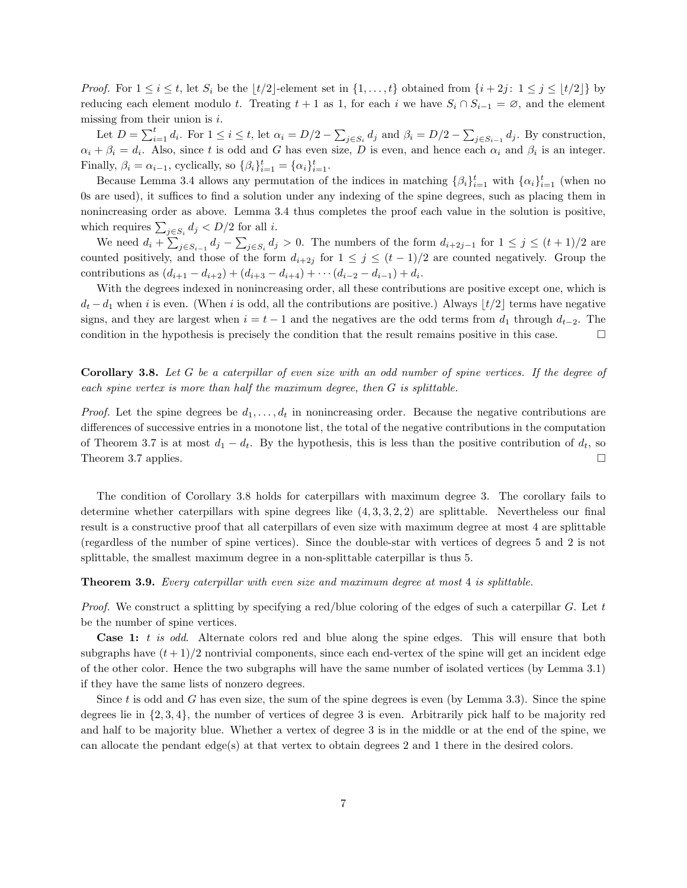*Proof.* For  $1 \leq i \leq t$ , let  $S_i$  be the  $|t/2|$ -element set in  $\{1, \ldots, t\}$  obtained from  $\{i + 2j : 1 \leq j \leq \lfloor t/2 \rfloor\}$  by reducing each element modulo t. Treating  $t + 1$  as 1, for each i we have  $S_i \cap S_{i-1} = \emptyset$ , and the element missing from their union is  $i$ .

Let  $D = \sum_{i=1}^t d_i$ . For  $1 \le i \le t$ , let  $\alpha_i = D/2 - \sum_{j \in S_i} d_j$  and  $\beta_i = D/2 - \sum_{j \in S_{i-1}} d_j$ . By construction,  $\alpha_i + \beta_i = d_i$ . Also, since t is odd and G has even size, D is even, and hence each  $\alpha_i$  and  $\beta_i$  is an integer. Finally,  $\beta_i = \alpha_{i-1}$ , cyclically, so  $\{\beta_i\}_{i=1}^t = {\alpha_i}\}_{i=1}^t$ .

Because Lemma 3.4 allows any permutation of the indices in matching  $\{\beta_i\}_{i=1}^t$  with  $\{\alpha_i\}_{i=1}^t$  (when no 0s are used), it suffices to find a solution under any indexing of the spine degrees, such as placing them in nonincreasing order as above. Lemma 3.4 thus completes the proof each value in the solution is positive, which requires  $\sum_{j \in S_i} d_j < D/2$  for all *i*.

We need  $d_i + \sum_{j \in S_{i-1}} d_j - \sum_{j \in S_i} d_j > 0$ . The numbers of the form  $d_{i+2j-1}$  for  $1 \leq j \leq (t+1)/2$  are counted positively, and those of the form  $d_{i+2j}$  for  $1 \leq j \leq (t-1)/2$  are counted negatively. Group the contributions as  $(d_{i+1} - d_{i+2}) + (d_{i+3} - d_{i+4}) + \cdots + (d_{i-2} - d_{i-1}) + d_i$ .

With the degrees indexed in nonincreasing order, all these contributions are positive except one, which is  $d_t - d_1$  when i is even. (When i is odd, all the contributions are positive.) Always  $|t/2|$  terms have negative signs, and they are largest when  $i = t - 1$  and the negatives are the odd terms from  $d_1$  through  $d_{t-2}$ . The condition in the hypothesis is precisely the condition that the result remains positive in this case.  $\Box$ 

Corollary 3.8. Let G be a caterpillar of even size with an odd number of spine vertices. If the degree of each spine vertex is more than half the maximum degree, then G is splittable.

*Proof.* Let the spine degrees be  $d_1, \ldots, d_t$  in nonincreasing order. Because the negative contributions are differences of successive entries in a monotone list, the total of the negative contributions in the computation of Theorem 3.7 is at most  $d_1 - d_t$ . By the hypothesis, this is less than the positive contribution of  $d_t$ , so Theorem 3.7 applies.  $\square$ 

The condition of Corollary 3.8 holds for caterpillars with maximum degree 3. The corollary fails to determine whether caterpillars with spine degrees like  $(4, 3, 3, 2, 2)$  are splittable. Nevertheless our final result is a constructive proof that all caterpillars of even size with maximum degree at most 4 are splittable (regardless of the number of spine vertices). Since the double-star with vertices of degrees 5 and 2 is not splittable, the smallest maximum degree in a non-splittable caterpillar is thus 5.

**Theorem 3.9.** Every caterpillar with even size and maximum degree at most 4 is splittable.

*Proof.* We construct a splitting by specifying a red/blue coloring of the edges of such a caterpillar  $G$ . Let t be the number of spine vertices.

Case 1: t is odd. Alternate colors red and blue along the spine edges. This will ensure that both subgraphs have  $(t+1)/2$  nontrivial components, since each end-vertex of the spine will get an incident edge of the other color. Hence the two subgraphs will have the same number of isolated vertices (by Lemma 3.1) if they have the same lists of nonzero degrees.

Since  $t$  is odd and  $G$  has even size, the sum of the spine degrees is even (by Lemma 3.3). Since the spine degrees lie in {2, 3, 4}, the number of vertices of degree 3 is even. Arbitrarily pick half to be majority red and half to be majority blue. Whether a vertex of degree 3 is in the middle or at the end of the spine, we can allocate the pendant edge(s) at that vertex to obtain degrees 2 and 1 there in the desired colors.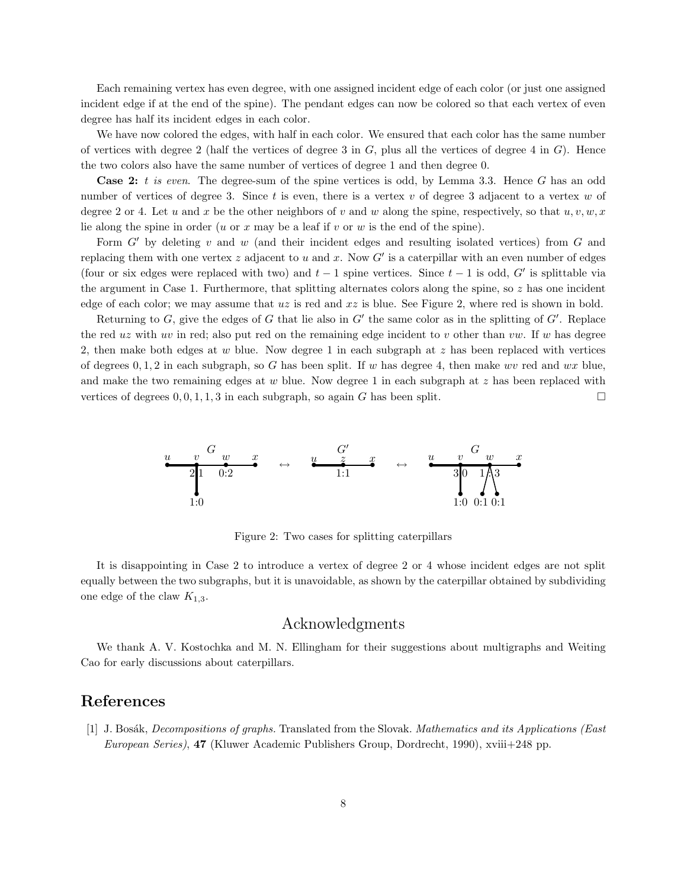Each remaining vertex has even degree, with one assigned incident edge of each color (or just one assigned incident edge if at the end of the spine). The pendant edges can now be colored so that each vertex of even degree has half its incident edges in each color.

We have now colored the edges, with half in each color. We ensured that each color has the same number of vertices with degree 2 (half the vertices of degree 3 in  $G$ , plus all the vertices of degree 4 in  $G$ ). Hence the two colors also have the same number of vertices of degree 1 and then degree 0.

**Case 2:** t is even. The degree-sum of the spine vertices is odd, by Lemma 3.3. Hence G has an odd number of vertices of degree 3. Since  $t$  is even, there is a vertex  $v$  of degree 3 adjacent to a vertex  $w$  of degree 2 or 4. Let u and x be the other neighbors of v and w along the spine, respectively, so that  $u, v, w, x$ lie along the spine in order (u or x may be a leaf if v or w is the end of the spine).

Form  $G'$  by deleting v and w (and their incident edges and resulting isolated vertices) from  $G$  and replacing them with one vertex z adjacent to u and x. Now  $G'$  is a caterpillar with an even number of edges (four or six edges were replaced with two) and  $t-1$  spine vertices. Since  $t-1$  is odd, G' is splittable via the argument in Case 1. Furthermore, that splitting alternates colors along the spine, so  $z$  has one incident edge of each color; we may assume that  $uz$  is red and  $xz$  is blue. See Figure 2, where red is shown in bold.

Returning to  $G$ , give the edges of  $G$  that lie also in  $G'$  the same color as in the splitting of  $G'$ . Replace the red uz with uv in red; also put red on the remaining edge incident to v other than vw. If w has degree 2, then make both edges at  $w$  blue. Now degree 1 in each subgraph at  $z$  has been replaced with vertices of degrees  $0, 1, 2$  in each subgraph, so G has been split. If w has degree 4, then make wv red and wx blue, and make the two remaining edges at  $w$  blue. Now degree 1 in each subgraph at  $z$  has been replaced with vertices of degrees  $0, 0, 1, 1, 3$  in each subgraph, so again G has been split.



Figure 2: Two cases for splitting caterpillars

It is disappointing in Case 2 to introduce a vertex of degree 2 or 4 whose incident edges are not split equally between the two subgraphs, but it is unavoidable, as shown by the caterpillar obtained by subdividing one edge of the claw  $K_{1,3}$ .

#### Acknowledgments

We thank A. V. Kostochka and M. N. Ellingham for their suggestions about multigraphs and Weiting Cao for early discussions about caterpillars.

### References

[1] J. Bosák, *Decompositions of graphs*. Translated from the Slovak. Mathematics and its Applications (East European Series), 47 (Kluwer Academic Publishers Group, Dordrecht, 1990), xviii+248 pp.